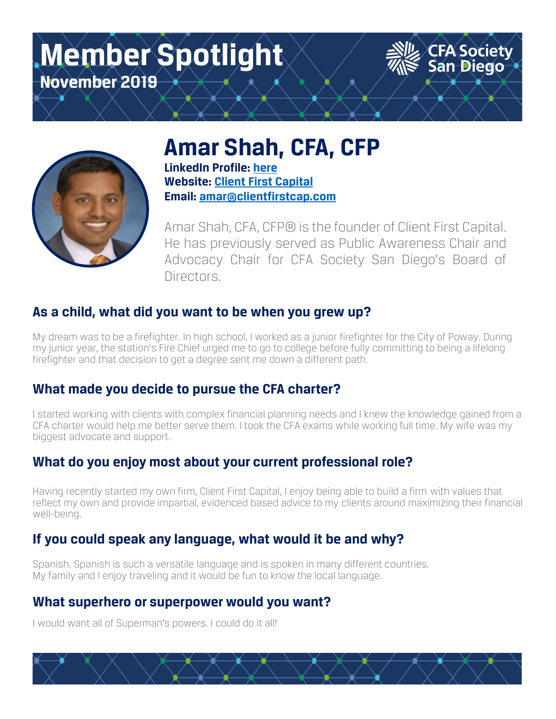# **Member Spotlight November 2019**



# **Amar Shah, CFA, CFP**

**LinkedIn Profile: here Website: Client First Capital Email: amar@clientfirstcap.com**

Amar Shah, CFA, CFP® is the founder of Client First Capital. He has previously served as Public Awareness Chair and Advocacy Chair for CFA Society San Diego's Board of Directors.

CFA Society<br>San Diego

### **As a child, what did you want to be when you grew up?**

My dream was to be a firefighter. In high school, I worked as a junior firefighter for the City of Poway. During my junior year, the station's Fire Chief urged me to go to college before fully committing to being a lifelong firefighter and that decision to get a degree sent me down a different path.

### **What made you decide to pursue the CFA charter?**

I started working with clients with complex financial planning needs and I knew the knowledge gained from a CFA charter would help me better serve them. I took the CFA exams while working full time. My wife was my biggest advocate and support.

### **What do you enjoy most about your current professional role?**

Having recently started my own firm, Client First Capital, I enjoy being able to build a firm with values that reflect my own and provide impartial, evidenced based advice to my clients around maximizing their financial well-being.

### **If you could speak any language, what would it be and why?**

Spanish. Spanish is such a versatile language and is spoken in many different countries. My family and I enjoy traveling and it would be fun to know the local language.

#### **What superhero or superpower would you want?**

I would want all of Superman's powers. I could do it all!